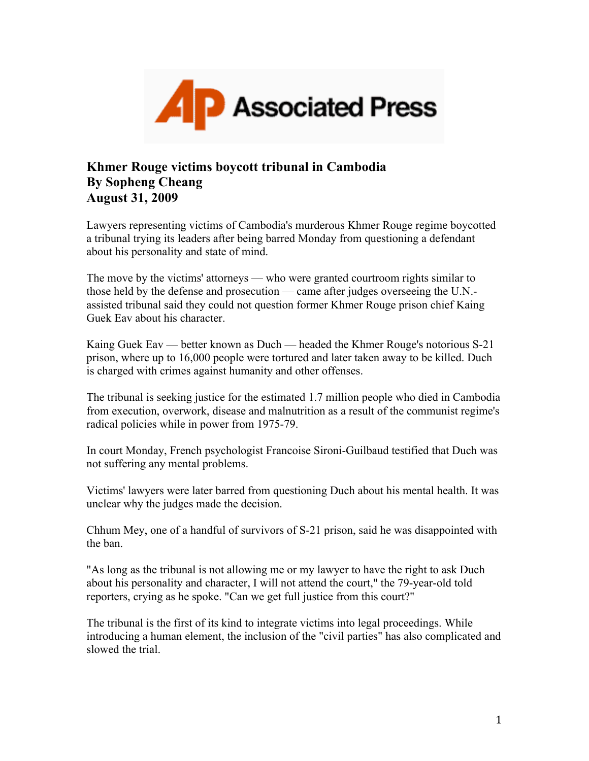

## **Khmer Rouge victims boycott tribunal in Cambodia By Sopheng Cheang August 31, 2009**

Lawyers representing victims of Cambodia's murderous Khmer Rouge regime boycotted a tribunal trying its leaders after being barred Monday from questioning a defendant about his personality and state of mind.

The move by the victims' attorneys — who were granted courtroom rights similar to those held by the defense and prosecution — came after judges overseeing the U.N. assisted tribunal said they could not question former Khmer Rouge prison chief Kaing Guek Eav about his character.

Kaing Guek Eav — better known as Duch — headed the Khmer Rouge's notorious S-21 prison, where up to 16,000 people were tortured and later taken away to be killed. Duch is charged with crimes against humanity and other offenses.

The tribunal is seeking justice for the estimated 1.7 million people who died in Cambodia from execution, overwork, disease and malnutrition as a result of the communist regime's radical policies while in power from 1975-79.

In court Monday, French psychologist Francoise Sironi-Guilbaud testified that Duch was not suffering any mental problems.

Victims' lawyers were later barred from questioning Duch about his mental health. It was unclear why the judges made the decision.

Chhum Mey, one of a handful of survivors of S-21 prison, said he was disappointed with the ban.

"As long as the tribunal is not allowing me or my lawyer to have the right to ask Duch about his personality and character, I will not attend the court," the 79-year-old told reporters, crying as he spoke. "Can we get full justice from this court?"

The tribunal is the first of its kind to integrate victims into legal proceedings. While introducing a human element, the inclusion of the "civil parties" has also complicated and slowed the trial.